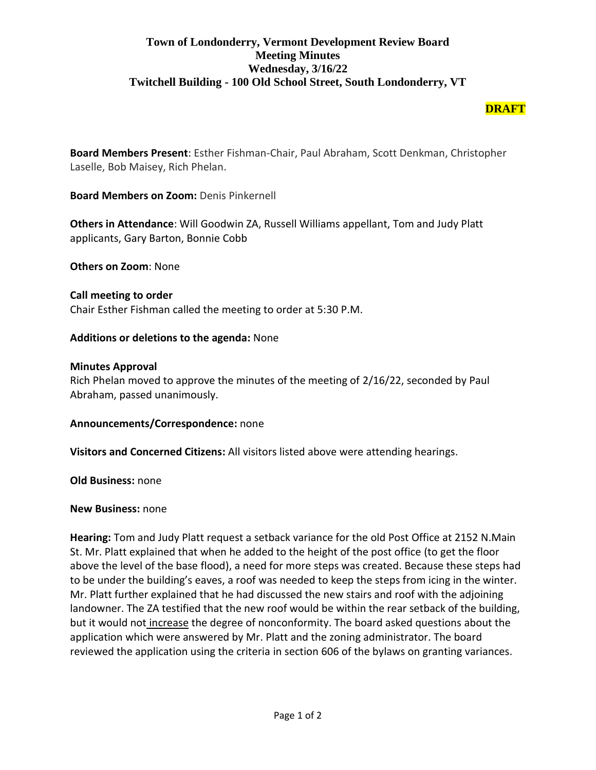# **Town of Londonderry, Vermont Development Review Board Meeting Minutes Wednesday, 3/16/22 Twitchell Building - 100 Old School Street, South Londonderry, VT**

## **DRAFT**

**Board Members Present**: Esther Fishman-Chair, Paul Abraham, Scott Denkman, Christopher Laselle, Bob Maisey, Rich Phelan.

**Board Members on Zoom:** Denis Pinkernell

**Others in Attendance**: Will Goodwin ZA, Russell Williams appellant, Tom and Judy Platt applicants, Gary Barton, Bonnie Cobb

**Others on Zoom**: None

**Call meeting to order**  Chair Esther Fishman called the meeting to order at 5:30 P.M.

## **Additions or deletions to the agenda:** None

#### **Minutes Approval**

Rich Phelan moved to approve the minutes of the meeting of 2/16/22, seconded by Paul Abraham, passed unanimously.

#### **Announcements/Correspondence:** none

**Visitors and Concerned Citizens:** All visitors listed above were attending hearings.

**Old Business:** none

#### **New Business:** none

**Hearing:** Tom and Judy Platt request a setback variance for the old Post Office at 2152 N.Main St. Mr. Platt explained that when he added to the height of the post office (to get the floor above the level of the base flood), a need for more steps was created. Because these steps had to be under the building's eaves, a roof was needed to keep the steps from icing in the winter. Mr. Platt further explained that he had discussed the new stairs and roof with the adjoining landowner. The ZA testified that the new roof would be within the rear setback of the building, but it would not increase the degree of nonconformity. The board asked questions about the application which were answered by Mr. Platt and the zoning administrator. The board reviewed the application using the criteria in section 606 of the bylaws on granting variances.